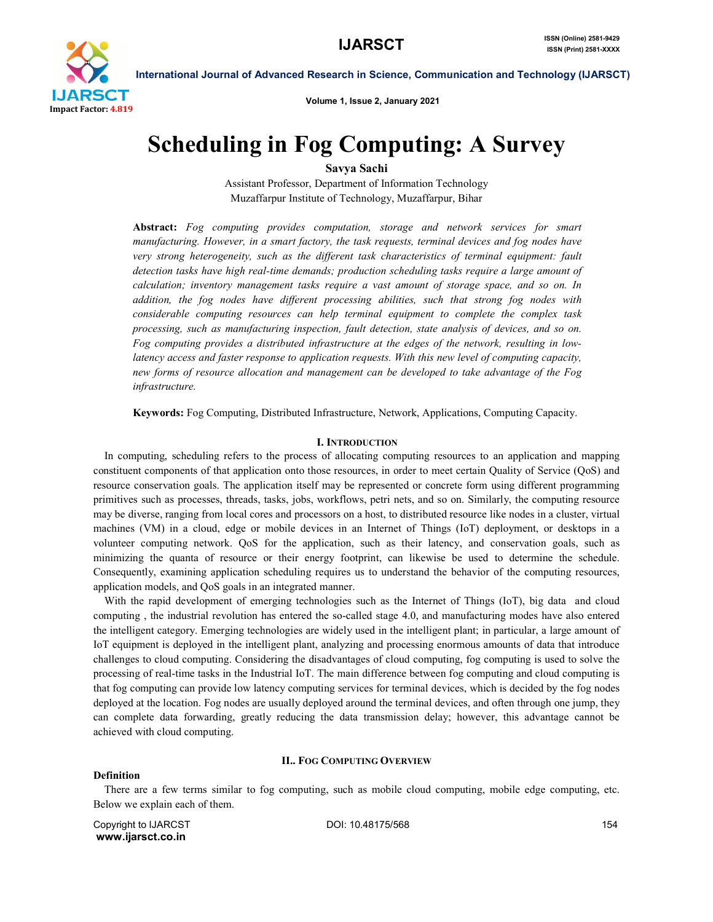

Volume 1, Issue 2, January 2021

# Scheduling in Fog Computing: A Survey

Savya Sachi

Assistant Professor, Department of Information Technology Muzaffarpur Institute of Technology, Muzaffarpur, Bihar

Abstract: *Fog computing provides computation, storage and network services for smart manufacturing. However, in a smart factory, the task requests, terminal devices and fog nodes have very strong heterogeneity, such as the different task characteristics of terminal equipment: fault detection tasks have high real-time demands; production scheduling tasks require a large amount of calculation; inventory management tasks require a vast amount of storage space, and so on. In addition, the fog nodes have different processing abilities, such that strong fog nodes with considerable computing resources can help terminal equipment to complete the complex task processing, such as manufacturing inspection, fault detection, state analysis of devices, and so on. Fog computing provides a distributed infrastructure at the edges of the network, resulting in lowlatency access and faster response to application requests. With this new level of computing capacity, new forms of resource allocation and management can be developed to take advantage of the Fog infrastructure.*

Keywords: Fog Computing, Distributed Infrastructure, Network, Applications, Computing Capacity.

# I. INTRODUCTION

 In computing, scheduling refers to the process of allocating computing resources to an application and mapping constituent components of that application onto those resources, in order to meet certain Quality of Service (QoS) and resource conservation goals. The application itself may be represented or concrete form using different programming primitives such as processes, threads, tasks, jobs, workflows, petri nets, and so on. Similarly, the computing resource may be diverse, ranging from local cores and processors on a host, to distributed resource like nodes in a cluster, virtual machines (VM) in a cloud, edge or mobile devices in an Internet of Things (IoT) deployment, or desktops in a volunteer computing network. QoS for the application, such as their latency, and conservation goals, such as minimizing the quanta of resource or their energy footprint, can likewise be used to determine the schedule. Consequently, examining application scheduling requires us to understand the behavior of the computing resources, application models, and QoS goals in an integrated manner.

 With the rapid development of emerging technologies such as the Internet of Things (IoT), big data and cloud computing , the industrial revolution has entered the so-called stage 4.0, and manufacturing modes have also entered the intelligent category. Emerging technologies are widely used in the intelligent plant; in particular, a large amount of IoT equipment is deployed in the intelligent plant, analyzing and processing enormous amounts of data that introduce challenges to cloud computing. Considering the disadvantages of cloud computing, fog computing is used to solve the processing of real-time tasks in the Industrial IoT. The main difference between fog computing and cloud computing is that fog computing can provide low latency computing services for terminal devices, which is decided by the fog nodes deployed at the location. Fog nodes are usually deployed around the terminal devices, and often through one jump, they can complete data forwarding, greatly reducing the data transmission delay; however, this advantage cannot be achieved with cloud computing.

### II.. FOG COMPUTING OVERVIEW

#### Definition

 There are a few terms similar to fog computing, such as mobile cloud computing, mobile edge computing, etc. Below we explain each of them.

Copyright to IJARCST **DOI: 10.48175/568** 154 www.ijarsct.co.in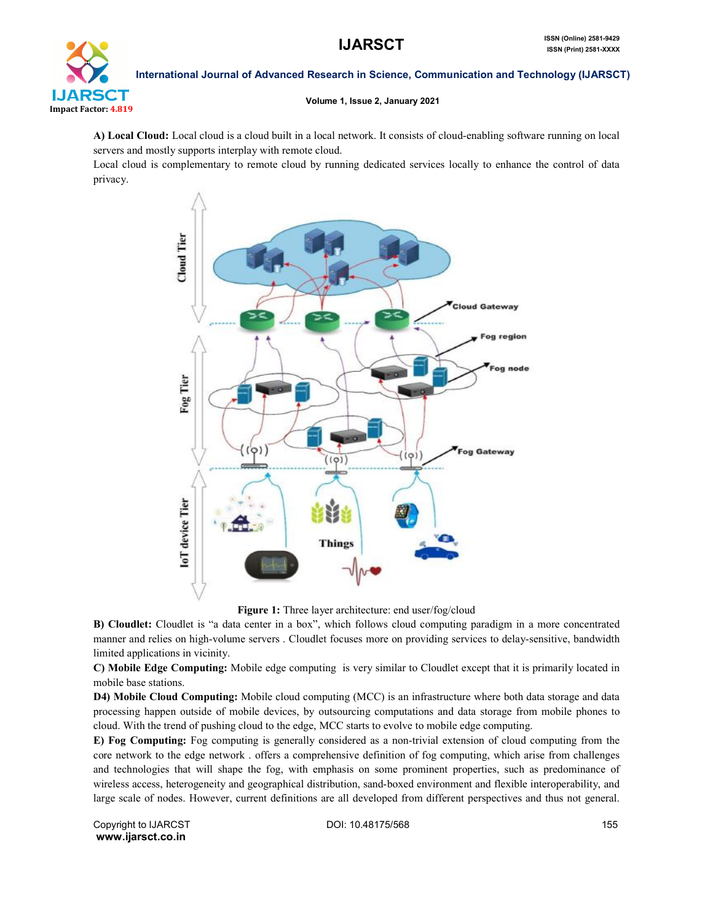

Volume 1, Issue 2, January 2021

A) Local Cloud: Local cloud is a cloud built in a local network. It consists of cloud-enabling software running on local servers and mostly supports interplay with remote cloud.

Local cloud is complementary to remote cloud by running dedicated services locally to enhance the control of data privacy.



Figure 1: Three layer architecture: end user/fog/cloud

B) Cloudlet: Cloudlet is "a data center in a box", which follows cloud computing paradigm in a more concentrated manner and relies on high-volume servers . Cloudlet focuses more on providing services to delay-sensitive, bandwidth limited applications in vicinity.

C) Mobile Edge Computing: Mobile edge computing is very similar to Cloudlet except that it is primarily located in mobile base stations.

D4) Mobile Cloud Computing: Mobile cloud computing (MCC) is an infrastructure where both data storage and data processing happen outside of mobile devices, by outsourcing computations and data storage from mobile phones to cloud. With the trend of pushing cloud to the edge, MCC starts to evolve to mobile edge computing.

E) Fog Computing: Fog computing is generally considered as a non-trivial extension of cloud computing from the core network to the edge network . offers a comprehensive definition of fog computing, which arise from challenges and technologies that will shape the fog, with emphasis on some prominent properties, such as predominance of wireless access, heterogeneity and geographical distribution, sand-boxed environment and flexible interoperability, and large scale of nodes. However, current definitions are all developed from different perspectives and thus not general.

Copyright to IJARCST **DOI:** 10.48175/568 155 www.ijarsct.co.in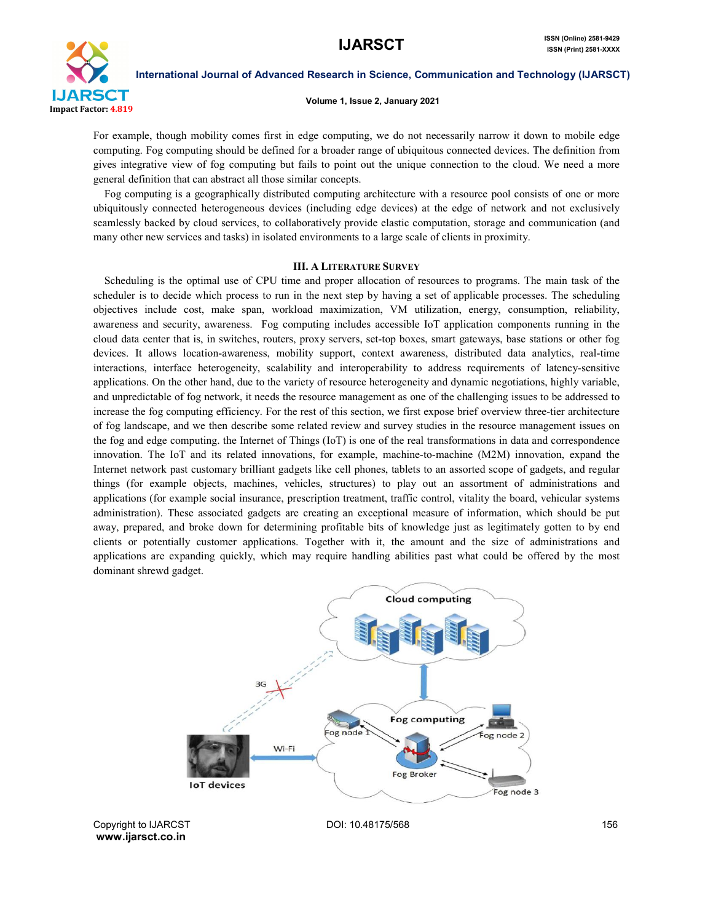

Volume 1, Issue 2, January 2021

For example, though mobility comes first in edge computing, we do not necessarily narrow it down to mobile edge computing. Fog computing should be defined for a broader range of ubiquitous connected devices. The definition from gives integrative view of fog computing but fails to point out the unique connection to the cloud. We need a more general definition that can abstract all those similar concepts.

 Fog computing is a geographically distributed computing architecture with a resource pool consists of one or more ubiquitously connected heterogeneous devices (including edge devices) at the edge of network and not exclusively seamlessly backed by cloud services, to collaboratively provide elastic computation, storage and communication (and many other new services and tasks) in isolated environments to a large scale of clients in proximity.

### III. A LITERATURE SURVEY

 Scheduling is the optimal use of CPU time and proper allocation of resources to programs. The main task of the scheduler is to decide which process to run in the next step by having a set of applicable processes. The scheduling objectives include cost, make span, workload maximization, VM utilization, energy, consumption, reliability, awareness and security, awareness. Fog computing includes accessible IoT application components running in the cloud data center that is, in switches, routers, proxy servers, set-top boxes, smart gateways, base stations or other fog devices. It allows location-awareness, mobility support, context awareness, distributed data analytics, real-time interactions, interface heterogeneity, scalability and interoperability to address requirements of latency-sensitive applications. On the other hand, due to the variety of resource heterogeneity and dynamic negotiations, highly variable, and unpredictable of fog network, it needs the resource management as one of the challenging issues to be addressed to increase the fog computing efficiency. For the rest of this section, we first expose brief overview three-tier architecture of fog landscape, and we then describe some related review and survey studies in the resource management issues on the fog and edge computing. the Internet of Things (IoT) is one of the real transformations in data and correspondence innovation. The IoT and its related innovations, for example, machine-to-machine (M2M) innovation, expand the Internet network past customary brilliant gadgets like cell phones, tablets to an assorted scope of gadgets, and regular things (for example objects, machines, vehicles, structures) to play out an assortment of administrations and applications (for example social insurance, prescription treatment, traffic control, vitality the board, vehicular systems administration). These associated gadgets are creating an exceptional measure of information, which should be put away, prepared, and broke down for determining profitable bits of knowledge just as legitimately gotten to by end clients or potentially customer applications. Together with it, the amount and the size of administrations and applications are expanding quickly, which may require handling abilities past what could be offered by the most dominant shrewd gadget.



Copyright to IJARCST **DOI:** 10.48175/568 156 www.ijarsct.co.in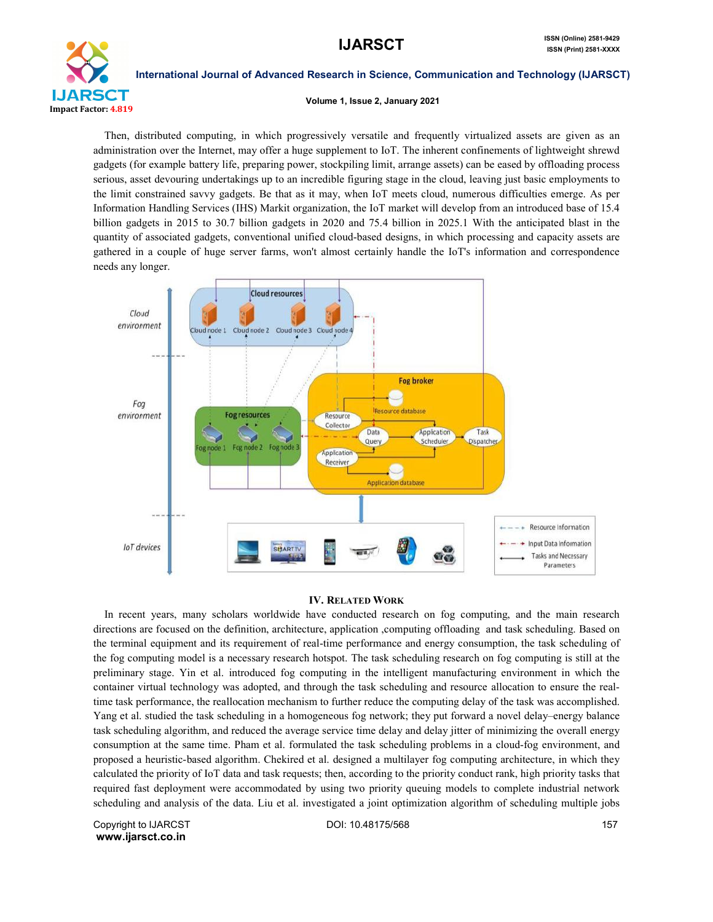

Volume 1, Issue 2, January 2021

 Then, distributed computing, in which progressively versatile and frequently virtualized assets are given as an administration over the Internet, may offer a huge supplement to IoT. The inherent confinements of lightweight shrewd gadgets (for example battery life, preparing power, stockpiling limit, arrange assets) can be eased by offloading process serious, asset devouring undertakings up to an incredible figuring stage in the cloud, leaving just basic employments to the limit constrained savvy gadgets. Be that as it may, when IoT meets cloud, numerous difficulties emerge. As per Information Handling Services (IHS) Markit organization, the IoT market will develop from an introduced base of 15.4 billion gadgets in 2015 to 30.7 billion gadgets in 2020 and 75.4 billion in 2025.1 With the anticipated blast in the quantity of associated gadgets, conventional unified cloud-based designs, in which processing and capacity assets are gathered in a couple of huge server farms, won't almost certainly handle the IoT's information and correspondence needs any longer.



#### IV. RELATED WORK

 In recent years, many scholars worldwide have conducted research on fog computing, and the main research directions are focused on the definition, architecture, application ,computing offloading and task scheduling. Based on the terminal equipment and its requirement of real-time performance and energy consumption, the task scheduling of the fog computing model is a necessary research hotspot. The task scheduling research on fog computing is still at the preliminary stage. Yin et al. introduced fog computing in the intelligent manufacturing environment in which the container virtual technology was adopted, and through the task scheduling and resource allocation to ensure the realtime task performance, the reallocation mechanism to further reduce the computing delay of the task was accomplished. Yang et al. studied the task scheduling in a homogeneous fog network; they put forward a novel delay–energy balance task scheduling algorithm, and reduced the average service time delay and delay jitter of minimizing the overall energy consumption at the same time. Pham et al. formulated the task scheduling problems in a cloud-fog environment, and proposed a heuristic-based algorithm. Chekired et al. designed a multilayer fog computing architecture, in which they calculated the priority of IoT data and task requests; then, according to the priority conduct rank, high priority tasks that required fast deployment were accommodated by using two priority queuing models to complete industrial network scheduling and analysis of the data. Liu et al. investigated a joint optimization algorithm of scheduling multiple jobs

Copyright to IJARCST **DOI: 10.48175/568** 157 www.ijarsct.co.in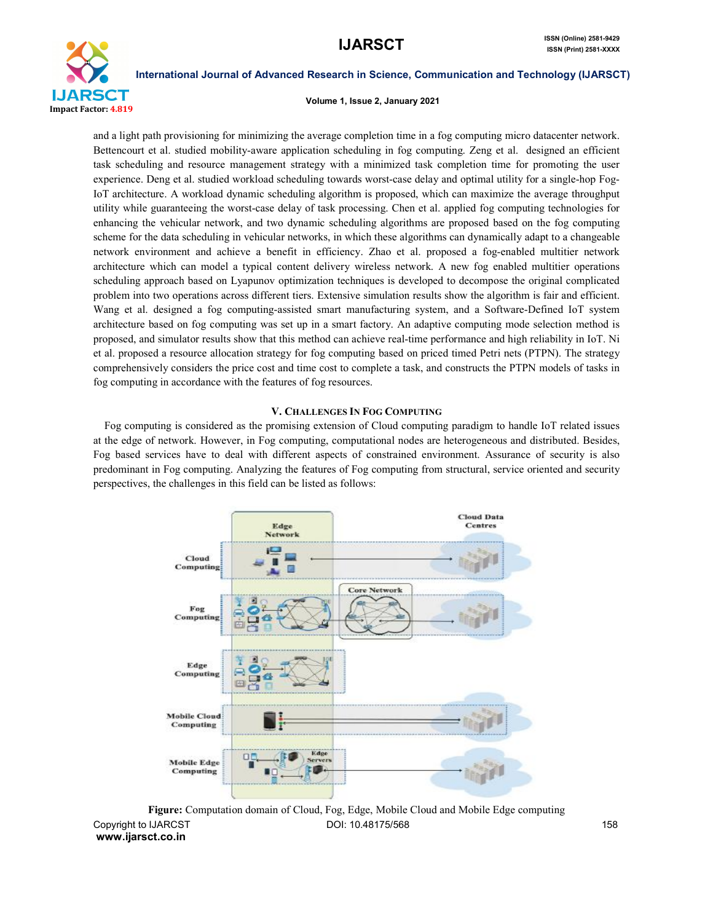

#### Volume 1, Issue 2, January 2021

and a light path provisioning for minimizing the average completion time in a fog computing micro datacenter network. Bettencourt et al. studied mobility-aware application scheduling in fog computing. Zeng et al. designed an efficient task scheduling and resource management strategy with a minimized task completion time for promoting the user experience. Deng et al. studied workload scheduling towards worst-case delay and optimal utility for a single-hop Fog-IoT architecture. A workload dynamic scheduling algorithm is proposed, which can maximize the average throughput utility while guaranteeing the worst-case delay of task processing. Chen et al. applied fog computing technologies for enhancing the vehicular network, and two dynamic scheduling algorithms are proposed based on the fog computing scheme for the data scheduling in vehicular networks, in which these algorithms can dynamically adapt to a changeable network environment and achieve a benefit in efficiency. Zhao et al. proposed a fog-enabled multitier network architecture which can model a typical content delivery wireless network. A new fog enabled multitier operations scheduling approach based on Lyapunov optimization techniques is developed to decompose the original complicated problem into two operations across different tiers. Extensive simulation results show the algorithm is fair and efficient. Wang et al. designed a fog computing-assisted smart manufacturing system, and a Software-Defined IoT system architecture based on fog computing was set up in a smart factory. An adaptive computing mode selection method is proposed, and simulator results show that this method can achieve real-time performance and high reliability in IoT. Ni et al. proposed a resource allocation strategy for fog computing based on priced timed Petri nets (PTPN). The strategy comprehensively considers the price cost and time cost to complete a task, and constructs the PTPN models of tasks in fog computing in accordance with the features of fog resources.

# V. CHALLENGES IN FOG COMPUTING

 Fog computing is considered as the promising extension of Cloud computing paradigm to handle IoT related issues at the edge of network. However, in Fog computing, computational nodes are heterogeneous and distributed. Besides, Fog based services have to deal with different aspects of constrained environment. Assurance of security is also predominant in Fog computing. Analyzing the features of Fog computing from structural, service oriented and security perspectives, the challenges in this field can be listed as follows:



Copyright to IJARCST **DOI:** 10.48175/568 158 www.ijarsct.co.in Figure: Computation domain of Cloud, Fog, Edge, Mobile Cloud and Mobile Edge computing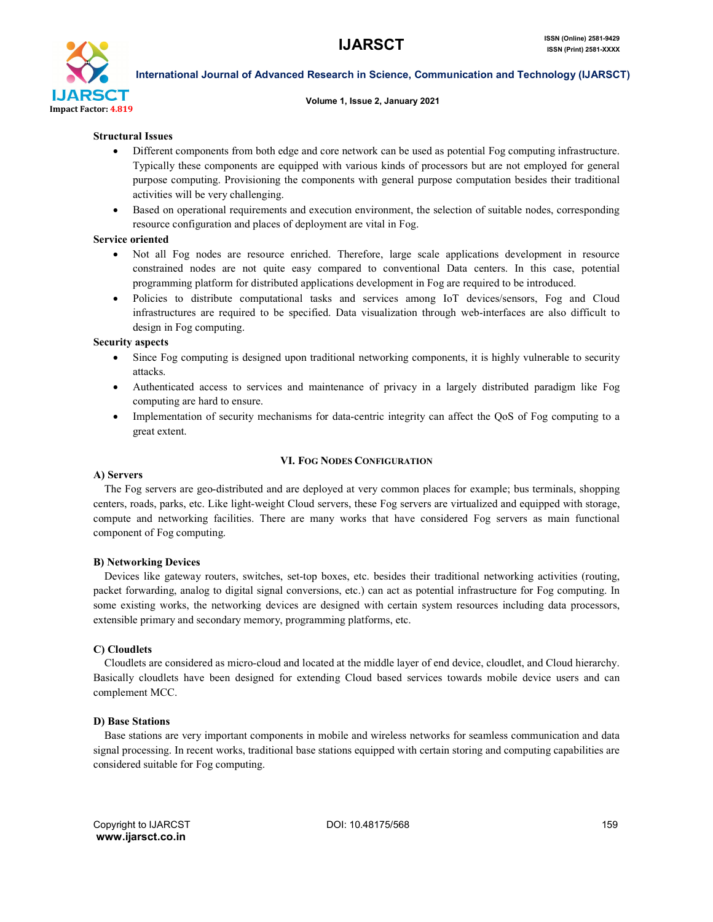

#### Volume 1, Issue 2, January 2021

# Structural Issues

- Different components from both edge and core network can be used as potential Fog computing infrastructure. Typically these components are equipped with various kinds of processors but are not employed for general purpose computing. Provisioning the components with general purpose computation besides their traditional activities will be very challenging.
- Based on operational requirements and execution environment, the selection of suitable nodes, corresponding resource configuration and places of deployment are vital in Fog.

# Service oriented

- Not all Fog nodes are resource enriched. Therefore, large scale applications development in resource constrained nodes are not quite easy compared to conventional Data centers. In this case, potential programming platform for distributed applications development in Fog are required to be introduced.
- Policies to distribute computational tasks and services among IoT devices/sensors, Fog and Cloud infrastructures are required to be specified. Data visualization through web-interfaces are also difficult to design in Fog computing.

# Security aspects

- Since Fog computing is designed upon traditional networking components, it is highly vulnerable to security attacks.
- Authenticated access to services and maintenance of privacy in a largely distributed paradigm like Fog computing are hard to ensure.
- Implementation of security mechanisms for data-centric integrity can affect the QoS of Fog computing to a great extent.

# VI. FOG NODES CONFIGURATION

# A) Servers

 The Fog servers are geo-distributed and are deployed at very common places for example; bus terminals, shopping centers, roads, parks, etc. Like light-weight Cloud servers, these Fog servers are virtualized and equipped with storage, compute and networking facilities. There are many works that have considered Fog servers as main functional component of Fog computing.

### B) Networking Devices

 Devices like gateway routers, switches, set-top boxes, etc. besides their traditional networking activities (routing, packet forwarding, analog to digital signal conversions, etc.) can act as potential infrastructure for Fog computing. In some existing works, the networking devices are designed with certain system resources including data processors, extensible primary and secondary memory, programming platforms, etc.

# C) Cloudlets

 Cloudlets are considered as micro-cloud and located at the middle layer of end device, cloudlet, and Cloud hierarchy. Basically cloudlets have been designed for extending Cloud based services towards mobile device users and can complement MCC.

# D) Base Stations

 Base stations are very important components in mobile and wireless networks for seamless communication and data signal processing. In recent works, traditional base stations equipped with certain storing and computing capabilities are considered suitable for Fog computing.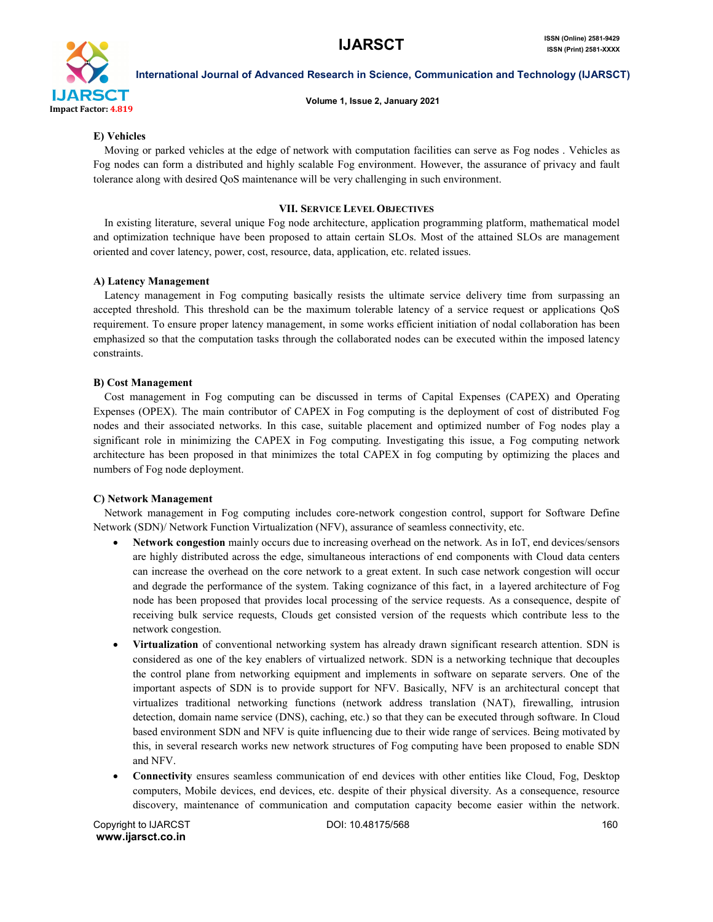

Volume 1, Issue 2, January 2021

# E) Vehicles

 Moving or parked vehicles at the edge of network with computation facilities can serve as Fog nodes . Vehicles as Fog nodes can form a distributed and highly scalable Fog environment. However, the assurance of privacy and fault tolerance along with desired QoS maintenance will be very challenging in such environment.

# VII. SERVICE LEVEL OBJECTIVES

 In existing literature, several unique Fog node architecture, application programming platform, mathematical model and optimization technique have been proposed to attain certain SLOs. Most of the attained SLOs are management oriented and cover latency, power, cost, resource, data, application, etc. related issues.

# A) Latency Management

 Latency management in Fog computing basically resists the ultimate service delivery time from surpassing an accepted threshold. This threshold can be the maximum tolerable latency of a service request or applications QoS requirement. To ensure proper latency management, in some works efficient initiation of nodal collaboration has been emphasized so that the computation tasks through the collaborated nodes can be executed within the imposed latency constraints.

# B) Cost Management

 Cost management in Fog computing can be discussed in terms of Capital Expenses (CAPEX) and Operating Expenses (OPEX). The main contributor of CAPEX in Fog computing is the deployment of cost of distributed Fog nodes and their associated networks. In this case, suitable placement and optimized number of Fog nodes play a significant role in minimizing the CAPEX in Fog computing. Investigating this issue, a Fog computing network architecture has been proposed in that minimizes the total CAPEX in fog computing by optimizing the places and numbers of Fog node deployment.

# C) Network Management

 Network management in Fog computing includes core-network congestion control, support for Software Define Network (SDN)/ Network Function Virtualization (NFV), assurance of seamless connectivity, etc.

- Network congestion mainly occurs due to increasing overhead on the network. As in IoT, end devices/sensors are highly distributed across the edge, simultaneous interactions of end components with Cloud data centers can increase the overhead on the core network to a great extent. In such case network congestion will occur and degrade the performance of the system. Taking cognizance of this fact, in a layered architecture of Fog node has been proposed that provides local processing of the service requests. As a consequence, despite of receiving bulk service requests, Clouds get consisted version of the requests which contribute less to the network congestion.
- Virtualization of conventional networking system has already drawn significant research attention. SDN is considered as one of the key enablers of virtualized network. SDN is a networking technique that decouples the control plane from networking equipment and implements in software on separate servers. One of the important aspects of SDN is to provide support for NFV. Basically, NFV is an architectural concept that virtualizes traditional networking functions (network address translation (NAT), firewalling, intrusion detection, domain name service (DNS), caching, etc.) so that they can be executed through software. In Cloud based environment SDN and NFV is quite influencing due to their wide range of services. Being motivated by this, in several research works new network structures of Fog computing have been proposed to enable SDN and NFV.
- Connectivity ensures seamless communication of end devices with other entities like Cloud, Fog, Desktop computers, Mobile devices, end devices, etc. despite of their physical diversity. As a consequence, resource discovery, maintenance of communication and computation capacity become easier within the network.

Copyright to IJARCST 160 www.ijarsct.co.in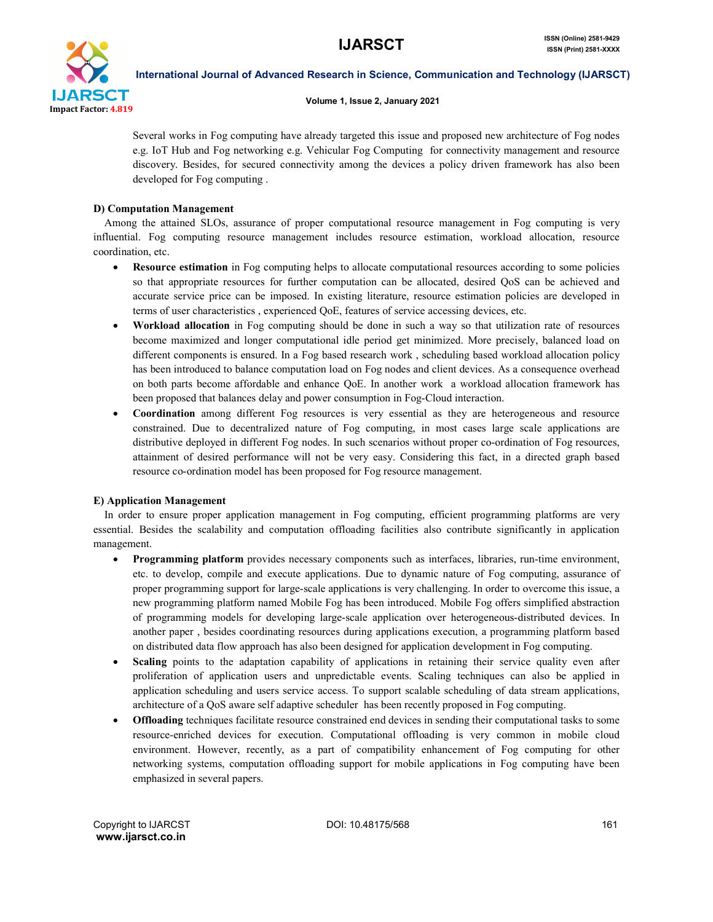

Several works in Fog computing have already targeted this issue and proposed new architecture of Fog nodes e.g. IoT Hub and Fog networking e.g. Vehicular Fog Computing for connectivity management and resource discovery. Besides, for secured connectivity among the devices a policy driven framework has also been developed for Fog computing .

# D) Computation Management

 Among the attained SLOs, assurance of proper computational resource management in Fog computing is very influential. Fog computing resource management includes resource estimation, workload allocation, resource coordination, etc.

- Resource estimation in Fog computing helps to allocate computational resources according to some policies so that appropriate resources for further computation can be allocated, desired QoS can be achieved and accurate service price can be imposed. In existing literature, resource estimation policies are developed in terms of user characteristics , experienced QoE, features of service accessing devices, etc.
- Workload allocation in Fog computing should be done in such a way so that utilization rate of resources become maximized and longer computational idle period get minimized. More precisely, balanced load on different components is ensured. In a Fog based research work , scheduling based workload allocation policy has been introduced to balance computation load on Fog nodes and client devices. As a consequence overhead on both parts become affordable and enhance QoE. In another work a workload allocation framework has been proposed that balances delay and power consumption in Fog-Cloud interaction.
- Coordination among different Fog resources is very essential as they are heterogeneous and resource constrained. Due to decentralized nature of Fog computing, in most cases large scale applications are distributive deployed in different Fog nodes. In such scenarios without proper co-ordination of Fog resources, attainment of desired performance will not be very easy. Considering this fact, in a directed graph based resource co-ordination model has been proposed for Fog resource management.

# E) Application Management

 In order to ensure proper application management in Fog computing, efficient programming platforms are very essential. Besides the scalability and computation offloading facilities also contribute significantly in application management.

- Programming platform provides necessary components such as interfaces, libraries, run-time environment, etc. to develop, compile and execute applications. Due to dynamic nature of Fog computing, assurance of proper programming support for large-scale applications is very challenging. In order to overcome this issue, a new programming platform named Mobile Fog has been introduced. Mobile Fog offers simplified abstraction of programming models for developing large-scale application over heterogeneous-distributed devices. In another paper , besides coordinating resources during applications execution, a programming platform based on distributed data flow approach has also been designed for application development in Fog computing.
- Scaling points to the adaptation capability of applications in retaining their service quality even after proliferation of application users and unpredictable events. Scaling techniques can also be applied in application scheduling and users service access. To support scalable scheduling of data stream applications, architecture of a QoS aware self adaptive scheduler has been recently proposed in Fog computing.
- Offloading techniques facilitate resource constrained end devices in sending their computational tasks to some resource-enriched devices for execution. Computational offloading is very common in mobile cloud environment. However, recently, as a part of compatibility enhancement of Fog computing for other networking systems, computation offloading support for mobile applications in Fog computing have been emphasized in several papers.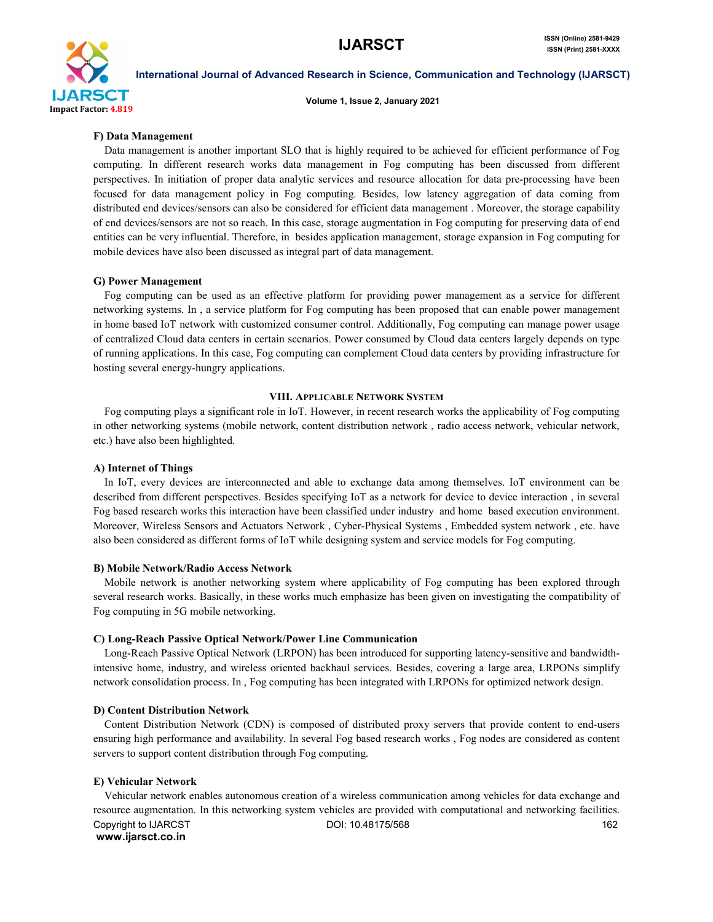

Volume 1, Issue 2, January 2021

# F) Data Management

 Data management is another important SLO that is highly required to be achieved for efficient performance of Fog computing. In different research works data management in Fog computing has been discussed from different perspectives. In initiation of proper data analytic services and resource allocation for data pre-processing have been focused for data management policy in Fog computing. Besides, low latency aggregation of data coming from distributed end devices/sensors can also be considered for efficient data management . Moreover, the storage capability of end devices/sensors are not so reach. In this case, storage augmentation in Fog computing for preserving data of end entities can be very influential. Therefore, in besides application management, storage expansion in Fog computing for mobile devices have also been discussed as integral part of data management.

# G) Power Management

 Fog computing can be used as an effective platform for providing power management as a service for different networking systems. In , a service platform for Fog computing has been proposed that can enable power management in home based IoT network with customized consumer control. Additionally, Fog computing can manage power usage of centralized Cloud data centers in certain scenarios. Power consumed by Cloud data centers largely depends on type of running applications. In this case, Fog computing can complement Cloud data centers by providing infrastructure for hosting several energy-hungry applications.

# VIII. APPLICABLE NETWORK SYSTEM

 Fog computing plays a significant role in IoT. However, in recent research works the applicability of Fog computing in other networking systems (mobile network, content distribution network , radio access network, vehicular network, etc.) have also been highlighted.

# A) Internet of Things

 In IoT, every devices are interconnected and able to exchange data among themselves. IoT environment can be described from different perspectives. Besides specifying IoT as a network for device to device interaction , in several Fog based research works this interaction have been classified under industry and home based execution environment. Moreover, Wireless Sensors and Actuators Network , Cyber-Physical Systems , Embedded system network , etc. have also been considered as different forms of IoT while designing system and service models for Fog computing.

# B) Mobile Network/Radio Access Network

 Mobile network is another networking system where applicability of Fog computing has been explored through several research works. Basically, in these works much emphasize has been given on investigating the compatibility of Fog computing in 5G mobile networking.

# C) Long-Reach Passive Optical Network/Power Line Communication

 Long-Reach Passive Optical Network (LRPON) has been introduced for supporting latency-sensitive and bandwidthintensive home, industry, and wireless oriented backhaul services. Besides, covering a large area, LRPONs simplify network consolidation process. In , Fog computing has been integrated with LRPONs for optimized network design.

# D) Content Distribution Network

 Content Distribution Network (CDN) is composed of distributed proxy servers that provide content to end-users ensuring high performance and availability. In several Fog based research works , Fog nodes are considered as content servers to support content distribution through Fog computing.

# E) Vehicular Network

Copyright to IJARCST **DOI:** 10.48175/568 162 www.ijarsct.co.in Vehicular network enables autonomous creation of a wireless communication among vehicles for data exchange and resource augmentation. In this networking system vehicles are provided with computational and networking facilities.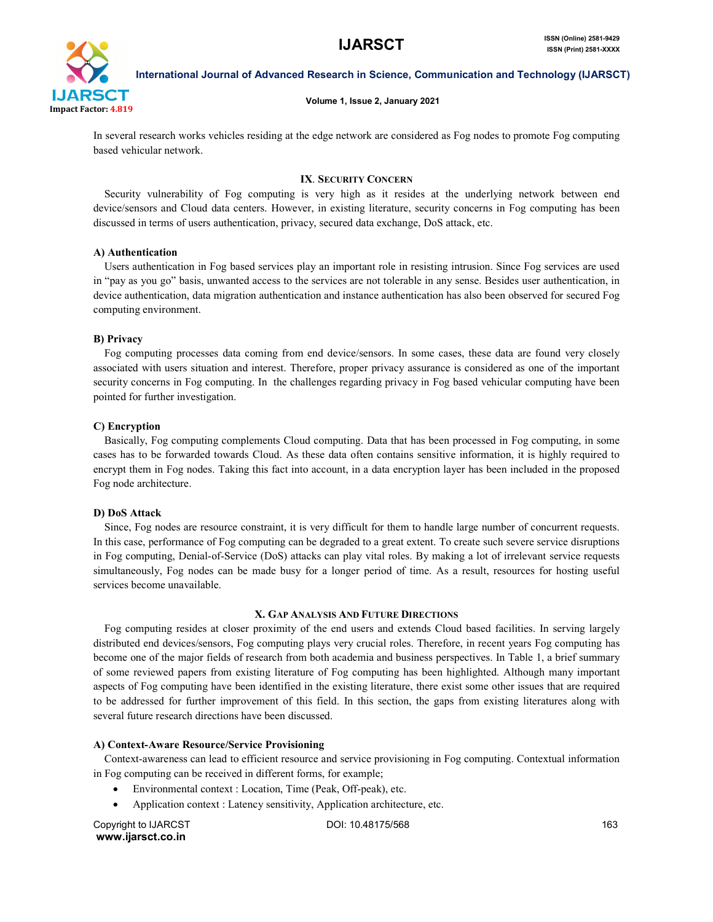

In several research works vehicles residing at the edge network are considered as Fog nodes to promote Fog computing based vehicular network.

# IX. SECURITY CONCERN

 Security vulnerability of Fog computing is very high as it resides at the underlying network between end device/sensors and Cloud data centers. However, in existing literature, security concerns in Fog computing has been discussed in terms of users authentication, privacy, secured data exchange, DoS attack, etc.

# A) Authentication

 Users authentication in Fog based services play an important role in resisting intrusion. Since Fog services are used in "pay as you go" basis, unwanted access to the services are not tolerable in any sense. Besides user authentication, in device authentication, data migration authentication and instance authentication has also been observed for secured Fog computing environment.

# B) Privacy

 Fog computing processes data coming from end device/sensors. In some cases, these data are found very closely associated with users situation and interest. Therefore, proper privacy assurance is considered as one of the important security concerns in Fog computing. In the challenges regarding privacy in Fog based vehicular computing have been pointed for further investigation.

# C) Encryption

 Basically, Fog computing complements Cloud computing. Data that has been processed in Fog computing, in some cases has to be forwarded towards Cloud. As these data often contains sensitive information, it is highly required to encrypt them in Fog nodes. Taking this fact into account, in a data encryption layer has been included in the proposed Fog node architecture.

# D) DoS Attack

 Since, Fog nodes are resource constraint, it is very difficult for them to handle large number of concurrent requests. In this case, performance of Fog computing can be degraded to a great extent. To create such severe service disruptions in Fog computing, Denial-of-Service (DoS) attacks can play vital roles. By making a lot of irrelevant service requests simultaneously, Fog nodes can be made busy for a longer period of time. As a result, resources for hosting useful services become unavailable.

# X. GAP ANALYSIS AND FUTURE DIRECTIONS

 Fog computing resides at closer proximity of the end users and extends Cloud based facilities. In serving largely distributed end devices/sensors, Fog computing plays very crucial roles. Therefore, in recent years Fog computing has become one of the major fields of research from both academia and business perspectives. In Table 1, a brief summary of some reviewed papers from existing literature of Fog computing has been highlighted. Although many important aspects of Fog computing have been identified in the existing literature, there exist some other issues that are required to be addressed for further improvement of this field. In this section, the gaps from existing literatures along with several future research directions have been discussed.

# A) Context-Aware Resource/Service Provisioning

 Context-awareness can lead to efficient resource and service provisioning in Fog computing. Contextual information in Fog computing can be received in different forms, for example;

- Environmental context : Location, Time (Peak, Off-peak), etc.
- Application context : Latency sensitivity, Application architecture, etc.

Copyright to IJARCST **DOI:** 10.48175/568 163 www.ijarsct.co.in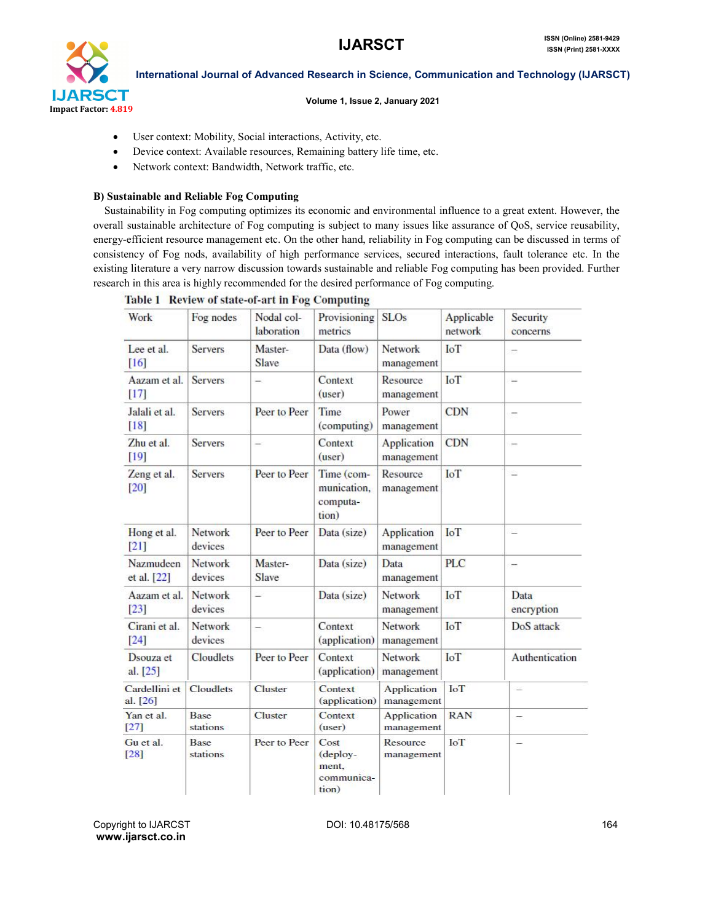

#### Volume 1, Issue 2, January 2021

- User context: Mobility, Social interactions, Activity, etc.
- Device context: Available resources, Remaining battery life time, etc.
- Network context: Bandwidth, Network traffic, etc.

### B) Sustainable and Reliable Fog Computing

 Sustainability in Fog computing optimizes its economic and environmental influence to a great extent. However, the overall sustainable architecture of Fog computing is subject to many issues like assurance of QoS, service reusability, energy-efficient resource management etc. On the other hand, reliability in Fog computing can be discussed in terms of consistency of Fog nods, availability of high performance services, secured interactions, fault tolerance etc. In the existing literature a very narrow discussion towards sustainable and reliable Fog computing has been provided. Further research in this area is highly recommended for the desired performance of Fog computing.

| Work                      | Fog nodes                 | Nodal col-<br>laboration | Provisioning<br>metrics                          | <b>SLOs</b>                  | Applicable<br>network | Security<br>concerns     |
|---------------------------|---------------------------|--------------------------|--------------------------------------------------|------------------------------|-----------------------|--------------------------|
| Lee et al.<br>$[16]$      | <b>Servers</b>            | Master-<br>Slave         | Data (flow)                                      | Network<br>management        | IoT                   | ÷,                       |
| Aazam et al.<br> 17       | <b>Servers</b>            |                          | Context<br>(user)                                | Resource<br>management       | <b>IoT</b>            |                          |
| Jalali et al.<br>$[18]$   | <b>Servers</b>            | Peer to Peer             | Time<br>(computing)                              | Power<br>management          | <b>CDN</b>            | $\equiv$                 |
| Zhu et al.<br>$[19]$      | <b>Servers</b>            | ÷                        | Context<br>(user)                                | Application<br>management    | <b>CDN</b>            | $\overline{\phantom{0}}$ |
| Zeng et al.<br>[20]       | <b>Servers</b>            | Peer to Peer             | Time (com-<br>munication,<br>computa-<br>tion)   | Resource<br>management       | IoT                   | e                        |
| Hong et al.<br>[21]       | Network<br>devices        | Peer to Peer             | Data (size)                                      | Application<br>management    | IoT                   |                          |
| Nazmudeen<br>et al. [22]  | <b>Network</b><br>devices | Master-<br>Slave         | Data (size)                                      | Data<br>management           | <b>PLC</b>            | $\equiv$                 |
| Aazam et al.<br>$[23]$    | <b>Network</b><br>devices | ÷                        | Data (size)                                      | Network<br>management        | $I \circ T$           | Data<br>encryption       |
| Cirani et al.<br>[24]     | Network<br>devices        | -                        | Context<br>(application)                         | Network<br>management        | <b>IoT</b>            | DoS attack               |
| Dsouza et<br>al. $[25]$   | <b>Cloudlets</b>          | Peer to Peer             | Context<br>(application)                         | <b>Network</b><br>management | IoT                   | Authentication           |
| Cardellini et<br>al. [26] | <b>Cloudlets</b>          | <b>Cluster</b>           | Context<br>(application)                         | Application<br>management    | IoT                   | 二                        |
| Yan et al.<br>[27]        | Base<br>stations          | Cluster                  | Context<br>(user)                                | Application<br>management    | <b>RAN</b>            | $\equiv$                 |
| Gu et al.<br>$[28]$       | Base<br>stations          | Peer to Peer             | Cost<br>(deploy-<br>ment,<br>communica-<br>tion) | Resource<br>management       | IoT                   | $\overline{\phantom{a}}$ |

#### Table 1 Review of state-of-art in Fog Computing

Copyright to IJARCST **DOI: 10.48175/568 164** 164 www.ijarsct.co.in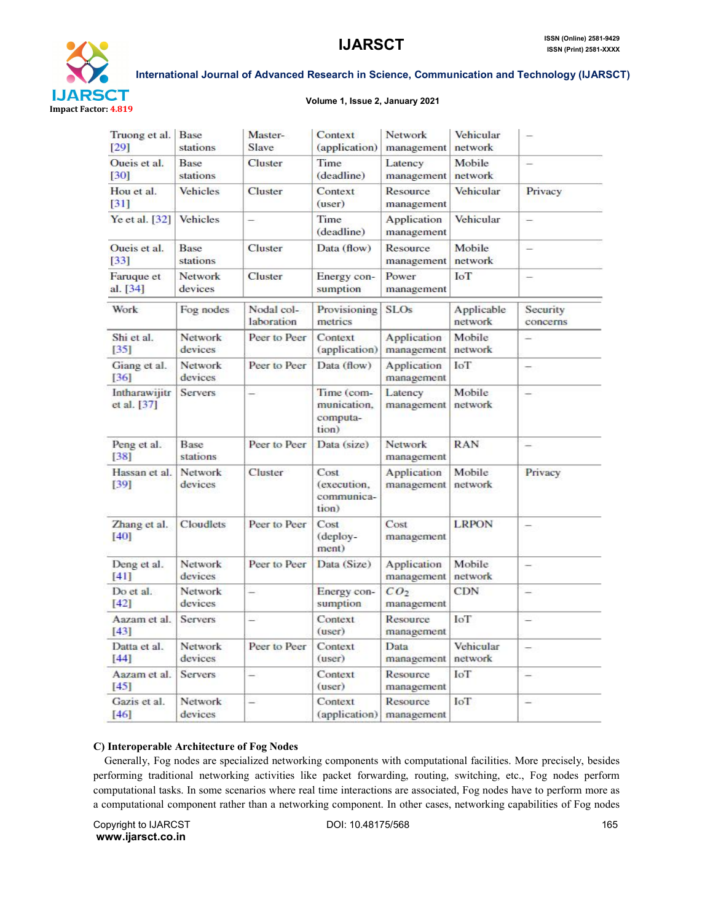

### Volume 1, Issue 2, January 2021

| Truong et al.<br>[29]        | Base<br>stations   | Master-<br>Slave         | Context<br>(application)                       | Network<br>management         | Vehicular<br>network  |                          |
|------------------------------|--------------------|--------------------------|------------------------------------------------|-------------------------------|-----------------------|--------------------------|
| Queis et al.<br>[30]         | Base<br>stations   | Cluster                  | Time<br>(deadline)                             | Latency<br>management         | Mobile<br>network     | $\overline{\phantom{a}}$ |
| Hou et al.<br>[31]           | Vehicles           | <b>Cluster</b>           | Context<br>(user)                              | Resource<br>management        | Vehicular             | Privacy                  |
| Ye et al. [32]               | Vehicles           | $\overline{a}$           | Time<br>(deadline)                             | Application<br>management     | Vehicular             | ÷.                       |
| Oueis et al.<br>[33]         | Base<br>stations   | Cluster                  | Data (flow)                                    | Resource<br>management        | Mobile<br>network     | ÷.                       |
| Faruque et<br>al. $[34]$     | Network<br>devices | Cluster                  | Energy con-<br>sumption                        | Power<br>management           | <b>IoT</b>            |                          |
| Work                         | Fog nodes          | Nodal col-<br>laboration | Provisioning<br>metrics                        | <b>SLOs</b>                   | Applicable<br>network | Security<br>concerns     |
| Shi et al.<br>[35]           | Network<br>devices | Peer to Peer             | Context<br>(application)                       | Application<br>management     | Mobile<br>network     | ۰                        |
| Giang et al.<br>[36]         | Network<br>devices | Peer to Peer             | Data (flow)                                    | Application<br>management     | IоT                   | -                        |
| Intharawijitr<br>et al. [37] | <b>Servers</b>     | ÷                        | Time (com-<br>munication.<br>computa-<br>tion) | Latency<br>management         | Mobile<br>network     | ÷                        |
| Peng et al.<br>[38]          | Base<br>stations   | Peer to Peer             | Data (size)                                    | Network<br>management         | RAN                   |                          |
| Hassan et al.<br>[39]        | Network<br>devices | Cluster                  | Cost<br>(execution,<br>communica-<br>tion)     | Application<br>management     | Mobile<br>network     | Privacy                  |
| Zhang et al.<br>[40]         | <b>Cloudlets</b>   | Peer to Peer             | Cost<br>(deploy-<br>ment)                      | Cost<br>management            | <b>LRPON</b>          |                          |
| Deng et al.<br>[41]          | Network<br>devices | Peer to Peer             | Data (Size)                                    | Application<br>management     | Mobile<br>network     | -                        |
| Do et al.<br>[42]            | Network<br>devices | L.                       | Energy con-<br>sumption                        | CO <sub>2</sub><br>management | <b>CDN</b>            | $\frac{1}{2}$            |
| Aazam et al.<br>[43]         | <b>Servers</b>     | b.                       | Context<br>(user)                              | Resource<br>management        | $I \circ T$           | ۷                        |
| Datta et al.<br>[44]         | Network<br>devices | Peer to Peer             | Context<br>(user)                              | Data<br>management            | Vehicular<br>network  | -                        |
| Aazam et al.<br>1451         | <b>Servers</b>     | L,                       | Context<br>(user)                              | Resource<br>management        | IoT                   | -                        |
| Gazis et al.<br>$[46]$       | Network<br>devices |                          | Context<br>(application)                       | Resource<br>management        | $I \circ T$           | =                        |

# C) Interoperable Architecture of Fog Nodes

 Generally, Fog nodes are specialized networking components with computational facilities. More precisely, besides performing traditional networking activities like packet forwarding, routing, switching, etc., Fog nodes perform computational tasks. In some scenarios where real time interactions are associated, Fog nodes have to perform more as a computational component rather than a networking component. In other cases, networking capabilities of Fog nodes

Copyright to IJARCST **DOI:** 10.48175/568 165 www.ijarsct.co.in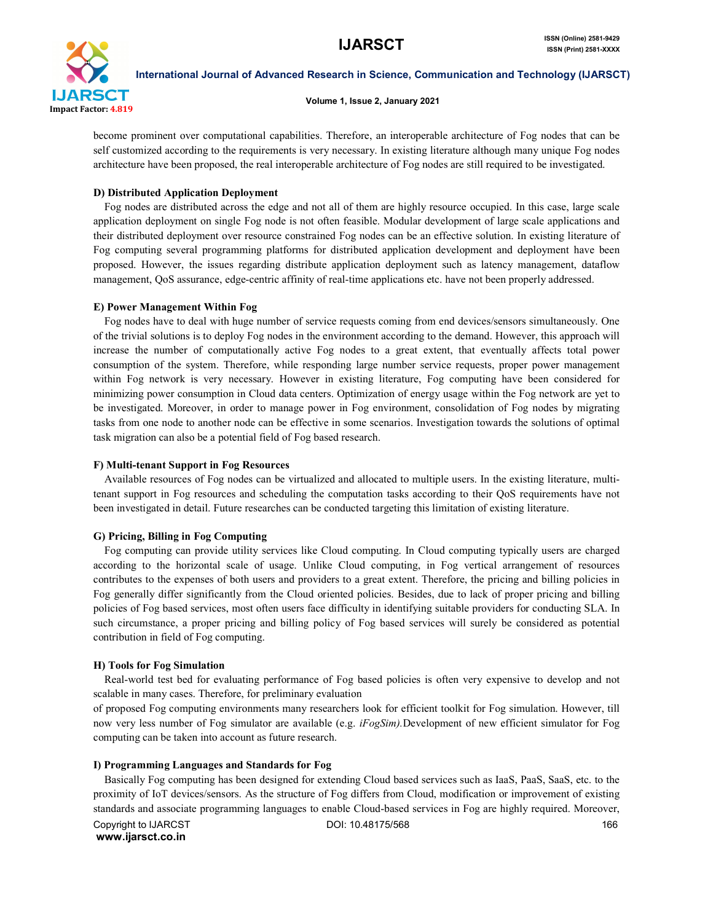

Volume 1, Issue 2, January 2021

become prominent over computational capabilities. Therefore, an interoperable architecture of Fog nodes that can be self customized according to the requirements is very necessary. In existing literature although many unique Fog nodes architecture have been proposed, the real interoperable architecture of Fog nodes are still required to be investigated.

# D) Distributed Application Deployment

 Fog nodes are distributed across the edge and not all of them are highly resource occupied. In this case, large scale application deployment on single Fog node is not often feasible. Modular development of large scale applications and their distributed deployment over resource constrained Fog nodes can be an effective solution. In existing literature of Fog computing several programming platforms for distributed application development and deployment have been proposed. However, the issues regarding distribute application deployment such as latency management, dataflow management, QoS assurance, edge-centric affinity of real-time applications etc. have not been properly addressed.

# E) Power Management Within Fog

 Fog nodes have to deal with huge number of service requests coming from end devices/sensors simultaneously. One of the trivial solutions is to deploy Fog nodes in the environment according to the demand. However, this approach will increase the number of computationally active Fog nodes to a great extent, that eventually affects total power consumption of the system. Therefore, while responding large number service requests, proper power management within Fog network is very necessary. However in existing literature, Fog computing have been considered for minimizing power consumption in Cloud data centers. Optimization of energy usage within the Fog network are yet to be investigated. Moreover, in order to manage power in Fog environment, consolidation of Fog nodes by migrating tasks from one node to another node can be effective in some scenarios. Investigation towards the solutions of optimal task migration can also be a potential field of Fog based research.

# F) Multi-tenant Support in Fog Resources

 Available resources of Fog nodes can be virtualized and allocated to multiple users. In the existing literature, multitenant support in Fog resources and scheduling the computation tasks according to their QoS requirements have not been investigated in detail. Future researches can be conducted targeting this limitation of existing literature.

# G) Pricing, Billing in Fog Computing

 Fog computing can provide utility services like Cloud computing. In Cloud computing typically users are charged according to the horizontal scale of usage. Unlike Cloud computing, in Fog vertical arrangement of resources contributes to the expenses of both users and providers to a great extent. Therefore, the pricing and billing policies in Fog generally differ significantly from the Cloud oriented policies. Besides, due to lack of proper pricing and billing policies of Fog based services, most often users face difficulty in identifying suitable providers for conducting SLA. In such circumstance, a proper pricing and billing policy of Fog based services will surely be considered as potential contribution in field of Fog computing.

# H) Tools for Fog Simulation

 Real-world test bed for evaluating performance of Fog based policies is often very expensive to develop and not scalable in many cases. Therefore, for preliminary evaluation

of proposed Fog computing environments many researchers look for efficient toolkit for Fog simulation. However, till now very less number of Fog simulator are available (e.g. *iFogSim).*Development of new efficient simulator for Fog computing can be taken into account as future research.

# I) Programming Languages and Standards for Fog

 Basically Fog computing has been designed for extending Cloud based services such as IaaS, PaaS, SaaS, etc. to the proximity of IoT devices/sensors. As the structure of Fog differs from Cloud, modification or improvement of existing standards and associate programming languages to enable Cloud-based services in Fog are highly required. Moreover,

Copyright to IJARCST **DOI: 10.48175/568 166** 166 www.ijarsct.co.in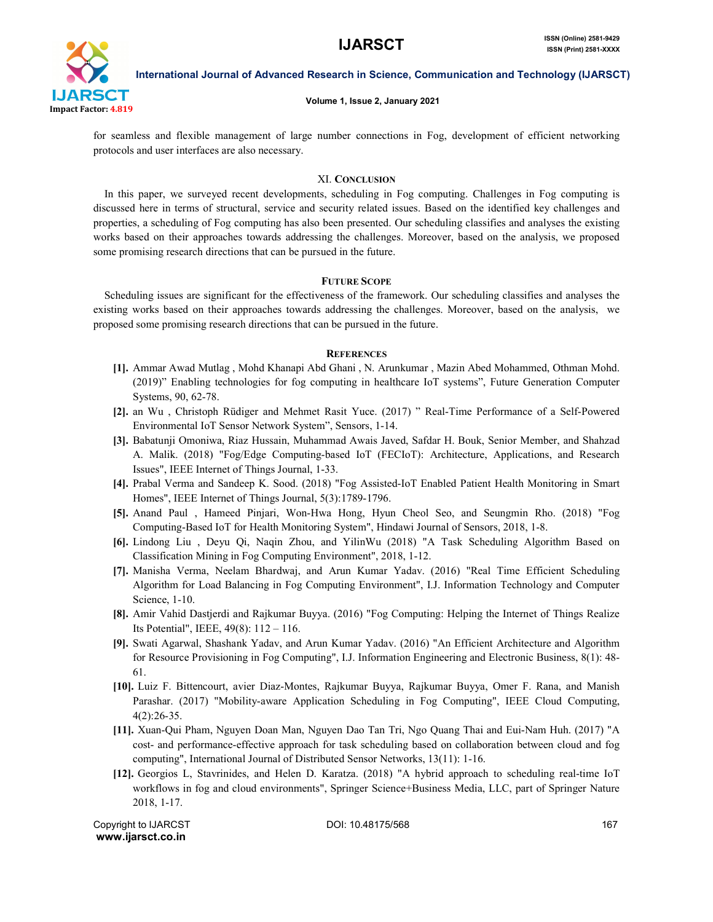

for seamless and flexible management of large number connections in Fog, development of efficient networking protocols and user interfaces are also necessary.

# XI. CONCLUSION

 In this paper, we surveyed recent developments, scheduling in Fog computing. Challenges in Fog computing is discussed here in terms of structural, service and security related issues. Based on the identified key challenges and properties, a scheduling of Fog computing has also been presented. Our scheduling classifies and analyses the existing works based on their approaches towards addressing the challenges. Moreover, based on the analysis, we proposed some promising research directions that can be pursued in the future.

# FUTURE SCOPE

 Scheduling issues are significant for the effectiveness of the framework. Our scheduling classifies and analyses the existing works based on their approaches towards addressing the challenges. Moreover, based on the analysis, we proposed some promising research directions that can be pursued in the future.

### **REFERENCES**

- [1]. Ammar Awad Mutlag , Mohd Khanapi Abd Ghani , N. Arunkumar , Mazin Abed Mohammed, Othman Mohd. (2019)" Enabling technologies for fog computing in healthcare IoT systems", Future Generation Computer Systems, 90, 62-78.
- [2]. an Wu , Christoph Rüdiger and Mehmet Rasit Yuce. (2017) " Real-Time Performance of a Self-Powered Environmental IoT Sensor Network System", Sensors, 1-14.
- [3]. Babatunji Omoniwa, Riaz Hussain, Muhammad Awais Javed, Safdar H. Bouk, Senior Member, and Shahzad A. Malik. (2018) "Fog/Edge Computing-based IoT (FECIoT): Architecture, Applications, and Research Issues", IEEE Internet of Things Journal, 1-33.
- [4]. Prabal Verma and Sandeep K. Sood. (2018) "Fog Assisted-IoT Enabled Patient Health Monitoring in Smart Homes", IEEE Internet of Things Journal, 5(3):1789-1796.
- [5]. Anand Paul , Hameed Pinjari, Won-Hwa Hong, Hyun Cheol Seo, and Seungmin Rho. (2018) "Fog Computing-Based IoT for Health Monitoring System", Hindawi Journal of Sensors, 2018, 1-8.
- [6]. Lindong Liu , Deyu Qi, Naqin Zhou, and YilinWu (2018) "A Task Scheduling Algorithm Based on Classification Mining in Fog Computing Environment", 2018, 1-12.
- [7]. Manisha Verma, Neelam Bhardwaj, and Arun Kumar Yadav. (2016) "Real Time Efficient Scheduling Algorithm for Load Balancing in Fog Computing Environment", I.J. Information Technology and Computer Science, 1-10.
- [8]. Amir Vahid Dastjerdi and Rajkumar Buyya. (2016) "Fog Computing: Helping the Internet of Things Realize Its Potential", IEEE, 49(8): 112 – 116.
- [9]. Swati Agarwal, Shashank Yadav, and Arun Kumar Yadav. (2016) "An Efficient Architecture and Algorithm for Resource Provisioning in Fog Computing", I.J. Information Engineering and Electronic Business, 8(1): 48- 61.
- [10]. Luiz F. Bittencourt, avier Diaz-Montes, Rajkumar Buyya, Rajkumar Buyya, Omer F. Rana, and Manish Parashar. (2017) "Mobility-aware Application Scheduling in Fog Computing", IEEE Cloud Computing, 4(2):26-35.
- [11]. Xuan-Qui Pham, Nguyen Doan Man, Nguyen Dao Tan Tri, Ngo Quang Thai and Eui-Nam Huh. (2017) "A cost- and performance-effective approach for task scheduling based on collaboration between cloud and fog computing", International Journal of Distributed Sensor Networks, 13(11): 1-16.
- [12]. Georgios L, Stavrinides, and Helen D. Karatza. (2018) "A hybrid approach to scheduling real-time IoT workflows in fog and cloud environments", Springer Science+Business Media, LLC, part of Springer Nature 2018, 1-17.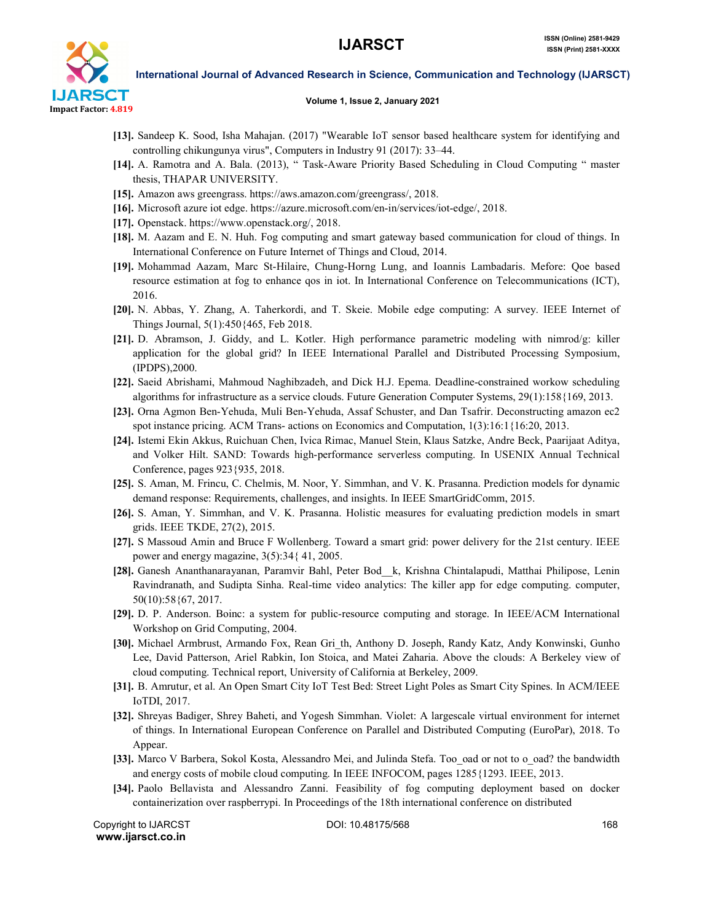

- [13]. Sandeep K. Sood, Isha Mahajan. (2017) "Wearable IoT sensor based healthcare system for identifying and controlling chikungunya virus", Computers in Industry 91 (2017): 33–44.
- [14]. A. Ramotra and A. Bala. (2013), " Task-Aware Priority Based Scheduling in Cloud Computing " master thesis, THAPAR UNIVERSITY.
- [15]. Amazon aws greengrass. https://aws.amazon.com/greengrass/, 2018.
- [16]. Microsoft azure iot edge. https://azure.microsoft.com/en-in/services/iot-edge/, 2018.
- [17]. Openstack. https://www.openstack.org/, 2018.
- [18]. M. Aazam and E. N. Huh. Fog computing and smart gateway based communication for cloud of things. In International Conference on Future Internet of Things and Cloud, 2014.
- [19]. Mohammad Aazam, Marc St-Hilaire, Chung-Horng Lung, and Ioannis Lambadaris. Mefore: Qoe based resource estimation at fog to enhance qos in iot. In International Conference on Telecommunications (ICT), 2016.
- [20]. N. Abbas, Y. Zhang, A. Taherkordi, and T. Skeie. Mobile edge computing: A survey. IEEE Internet of Things Journal, 5(1):450{465, Feb 2018.
- [21]. D. Abramson, J. Giddy, and L. Kotler. High performance parametric modeling with nimrod/g: killer application for the global grid? In IEEE International Parallel and Distributed Processing Symposium, (IPDPS),2000.
- [22]. Saeid Abrishami, Mahmoud Naghibzadeh, and Dick H.J. Epema. Deadline-constrained workow scheduling algorithms for infrastructure as a service clouds. Future Generation Computer Systems, 29(1):158{169, 2013.
- [23]. Orna Agmon Ben-Yehuda, Muli Ben-Yehuda, Assaf Schuster, and Dan Tsafrir. Deconstructing amazon ec2 spot instance pricing. ACM Trans- actions on Economics and Computation, 1(3):16:1{16:20, 2013.
- [24]. Istemi Ekin Akkus, Ruichuan Chen, Ivica Rimac, Manuel Stein, Klaus Satzke, Andre Beck, Paarijaat Aditya, and Volker Hilt. SAND: Towards high-performance serverless computing. In USENIX Annual Technical Conference, pages 923{935, 2018.
- [25]. S. Aman, M. Frincu, C. Chelmis, M. Noor, Y. Simmhan, and V. K. Prasanna. Prediction models for dynamic demand response: Requirements, challenges, and insights. In IEEE SmartGridComm, 2015.
- [26]. S. Aman, Y. Simmhan, and V. K. Prasanna. Holistic measures for evaluating prediction models in smart grids. IEEE TKDE, 27(2), 2015.
- [27]. S Massoud Amin and Bruce F Wollenberg. Toward a smart grid: power delivery for the 21st century. IEEE power and energy magazine, 3(5):34{ 41, 2005.
- [28]. Ganesh Ananthanarayanan, Paramvir Bahl, Peter Bod\_\_k, Krishna Chintalapudi, Matthai Philipose, Lenin Ravindranath, and Sudipta Sinha. Real-time video analytics: The killer app for edge computing. computer, 50(10):58{67, 2017.
- [29]. D. P. Anderson. Boinc: a system for public-resource computing and storage. In IEEE/ACM International Workshop on Grid Computing, 2004.
- [30]. Michael Armbrust, Armando Fox, Rean Gri\_th, Anthony D. Joseph, Randy Katz, Andy Konwinski, Gunho Lee, David Patterson, Ariel Rabkin, Ion Stoica, and Matei Zaharia. Above the clouds: A Berkeley view of cloud computing. Technical report, University of California at Berkeley, 2009.
- [31]. B. Amrutur, et al. An Open Smart City IoT Test Bed: Street Light Poles as Smart City Spines. In ACM/IEEE IoTDI, 2017.
- [32]. Shreyas Badiger, Shrey Baheti, and Yogesh Simmhan. Violet: A largescale virtual environment for internet of things. In International European Conference on Parallel and Distributed Computing (EuroPar), 2018. To Appear.
- [33]. Marco V Barbera, Sokol Kosta, Alessandro Mei, and Julinda Stefa. Too\_oad or not to o\_oad? the bandwidth and energy costs of mobile cloud computing. In IEEE INFOCOM, pages 1285{1293. IEEE, 2013.
- [34]. Paolo Bellavista and Alessandro Zanni. Feasibility of fog computing deployment based on docker containerization over raspberrypi. In Proceedings of the 18th international conference on distributed

Copyright to IJARCST **DOI: 10.48175/568** 168 www.ijarsct.co.in